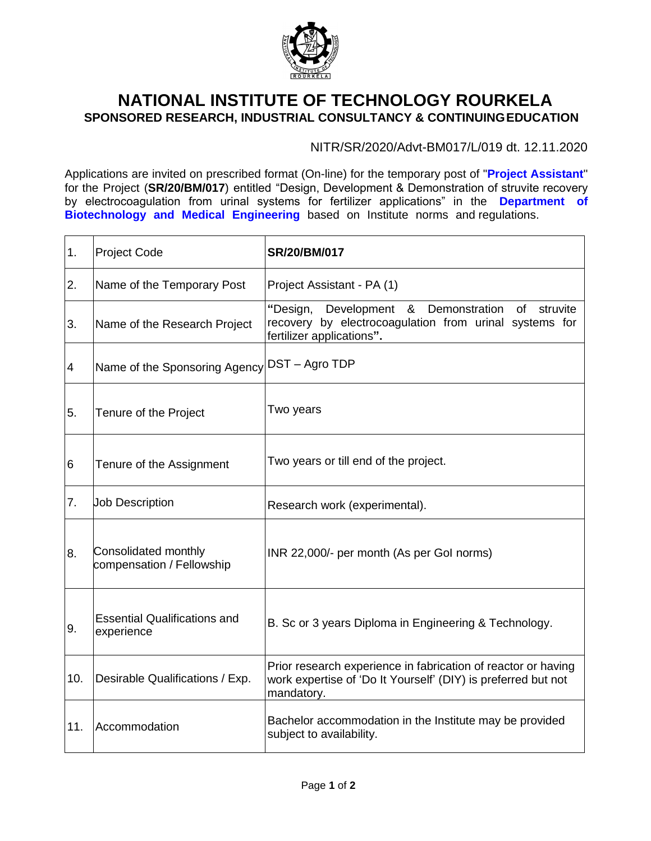

## **NATIONAL INSTITUTE OF TECHNOLOGY ROURKELA SPONSORED RESEARCH, INDUSTRIAL CONSULTANCY & CONTINUINGEDUCATION**

NITR/SR/2020/Advt-BM017/L/019 dt. 12.11.2020

Applications are invited on prescribed format (On-line) for the temporary post of "**Project Assistant**'' for the Project (**SR/20/BM/017**) entitled "Design, Development & Demonstration of struvite recovery by electrocoagulation from urinal systems for fertilizer applications" in the **Department of Biotechnology and Medical Engineering** based on Institute norms and regulations.

| 1.             | <b>Project Code</b>                               | <b>SR/20/BM/017</b>                                                                                                                                        |
|----------------|---------------------------------------------------|------------------------------------------------------------------------------------------------------------------------------------------------------------|
| 2.             | Name of the Temporary Post                        | Project Assistant - PA (1)                                                                                                                                 |
| 3.             | Name of the Research Project                      | "Design,<br>Development &<br>Demonstration<br><b>of</b><br>struvite<br>recovery by electrocoagulation from urinal systems for<br>fertilizer applications". |
| $\overline{4}$ | Name of the Sponsoring Agency DST - Agro TDP      |                                                                                                                                                            |
| 5.             | Tenure of the Project                             | Two years                                                                                                                                                  |
| 6              | Tenure of the Assignment                          | Two years or till end of the project.                                                                                                                      |
| 7.             | <b>Job Description</b>                            | Research work (experimental).                                                                                                                              |
| 8.             | Consolidated monthly<br>compensation / Fellowship | INR 22,000/- per month (As per Gol norms)                                                                                                                  |
| 9.             | <b>Essential Qualifications and</b><br>experience | B. Sc or 3 years Diploma in Engineering & Technology.                                                                                                      |
| 10.            | Desirable Qualifications / Exp.                   | Prior research experience in fabrication of reactor or having<br>work expertise of 'Do It Yourself' (DIY) is preferred but not<br>mandatory.               |
| 11.            | Accommodation                                     | Bachelor accommodation in the Institute may be provided<br>subject to availability.                                                                        |